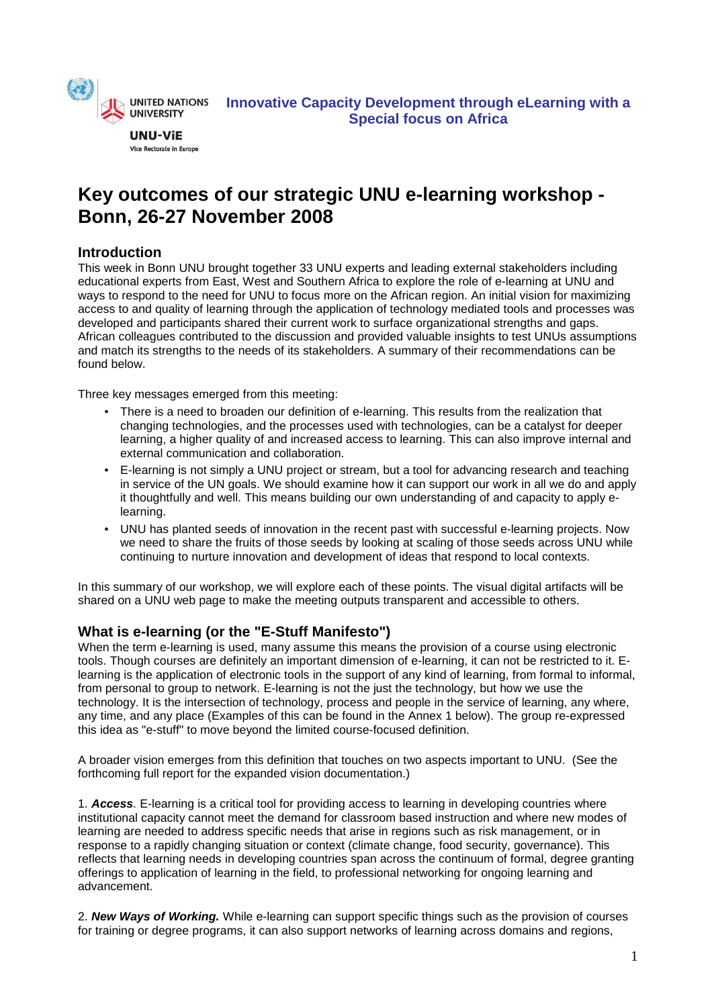

**UNU-ViE** Vice Rectorate in Europe

# **Key outcomes of our strategic UNU e-learning workshop - Bonn, 26-27 November 2008**

# **Introduction**

This week in Bonn UNU brought together 33 UNU experts and leading external stakeholders including educational experts from East, West and Southern Africa to explore the role of e-learning at UNU and ways to respond to the need for UNU to focus more on the African region. An initial vision for maximizing access to and quality of learning through the application of technology mediated tools and processes was developed and participants shared their current work to surface organizational strengths and gaps. African colleagues contributed to the discussion and provided valuable insights to test UNUs assumptions and match its strengths to the needs of its stakeholders. A summary of their recommendations can be found below.

Three key messages emerged from this meeting:

- There is a need to broaden our definition of e-learning. This results from the realization that changing technologies, and the processes used with technologies, can be a catalyst for deeper learning, a higher quality of and increased access to learning. This can also improve internal and external communication and collaboration.
- E-learning is not simply a UNU project or stream, but a tool for advancing research and teaching in service of the UN goals. We should examine how it can support our work in all we do and apply it thoughtfully and well. This means building our own understanding of and capacity to apply elearning.
- UNU has planted seeds of innovation in the recent past with successful e-learning projects. Now we need to share the fruits of those seeds by looking at scaling of those seeds across UNU while continuing to nurture innovation and development of ideas that respond to local contexts.

In this summary of our workshop, we will explore each of these points. The visual digital artifacts will be shared on a UNU web page to make the meeting outputs transparent and accessible to others.

# **What is e-learning (or the "E-Stuff Manifesto")**

When the term e-learning is used, many assume this means the provision of a course using electronic tools. Though courses are definitely an important dimension of e-learning, it can not be restricted to it. Elearning is the application of electronic tools in the support of any kind of learning, from formal to informal, from personal to group to network. E-learning is not the just the technology, but how we use the technology. It is the intersection of technology, process and people in the service of learning, any where, any time, and any place (Examples of this can be found in the Annex 1 below). The group re-expressed this idea as "e-stuff" to move beyond the limited course-focused definition.

A broader vision emerges from this definition that touches on two aspects important to UNU. (See the forthcoming full report for the expanded vision documentation.)

1. **Access**. E-learning is a critical tool for providing access to learning in developing countries where institutional capacity cannot meet the demand for classroom based instruction and where new modes of learning are needed to address specific needs that arise in regions such as risk management, or in response to a rapidly changing situation or context (climate change, food security, governance). This reflects that learning needs in developing countries span across the continuum of formal, degree granting offerings to application of learning in the field, to professional networking for ongoing learning and advancement.

2. **New Ways of Working.** While e-learning can support specific things such as the provision of courses for training or degree programs, it can also support networks of learning across domains and regions,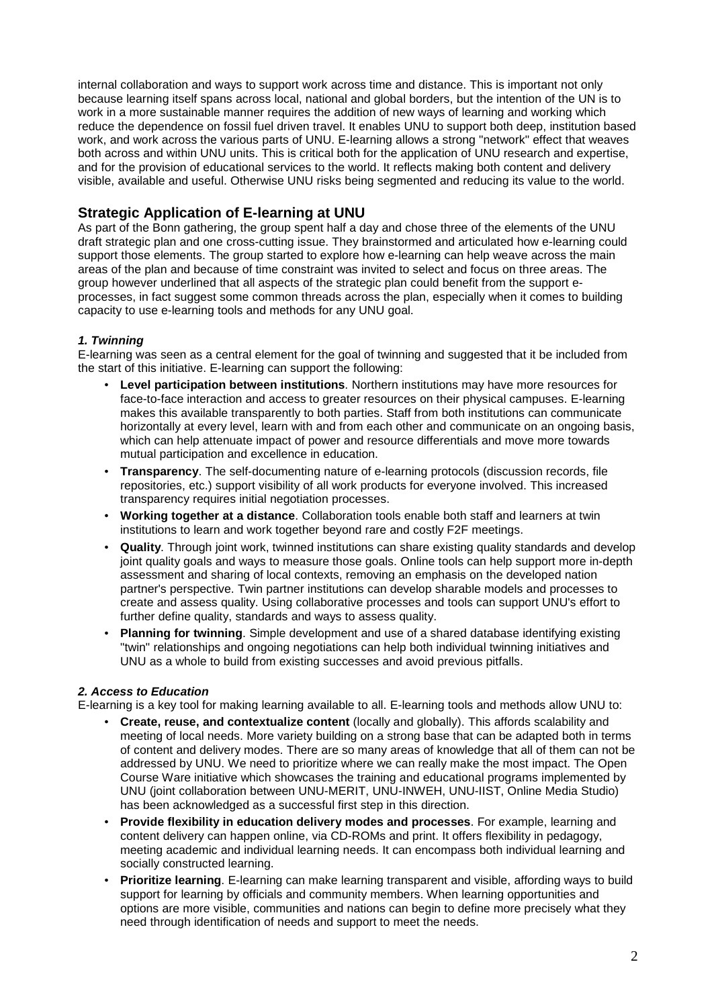internal collaboration and ways to support work across time and distance. This is important not only because learning itself spans across local, national and global borders, but the intention of the UN is to work in a more sustainable manner requires the addition of new ways of learning and working which reduce the dependence on fossil fuel driven travel. It enables UNU to support both deep, institution based work, and work across the various parts of UNU. E-learning allows a strong "network" effect that weaves both across and within UNU units. This is critical both for the application of UNU research and expertise, and for the provision of educational services to the world. It reflects making both content and delivery visible, available and useful. Otherwise UNU risks being segmented and reducing its value to the world.

## **Strategic Application of E-learning at UNU**

As part of the Bonn gathering, the group spent half a day and chose three of the elements of the UNU draft strategic plan and one cross-cutting issue. They brainstormed and articulated how e-learning could support those elements. The group started to explore how e-learning can help weave across the main areas of the plan and because of time constraint was invited to select and focus on three areas. The group however underlined that all aspects of the strategic plan could benefit from the support eprocesses, in fact suggest some common threads across the plan, especially when it comes to building capacity to use e-learning tools and methods for any UNU goal.

## **1. Twinning**

E-learning was seen as a central element for the goal of twinning and suggested that it be included from the start of this initiative. E-learning can support the following:

- **Level participation between institutions**. Northern institutions may have more resources for face-to-face interaction and access to greater resources on their physical campuses. E-learning makes this available transparently to both parties. Staff from both institutions can communicate horizontally at every level, learn with and from each other and communicate on an ongoing basis, which can help attenuate impact of power and resource differentials and move more towards mutual participation and excellence in education.
- **Transparency**. The self-documenting nature of e-learning protocols (discussion records, file repositories, etc.) support visibility of all work products for everyone involved. This increased transparency requires initial negotiation processes.
- **Working together at a distance**. Collaboration tools enable both staff and learners at twin institutions to learn and work together beyond rare and costly F2F meetings.
- **Quality**. Through joint work, twinned institutions can share existing quality standards and develop joint quality goals and ways to measure those goals. Online tools can help support more in-depth assessment and sharing of local contexts, removing an emphasis on the developed nation partner's perspective. Twin partner institutions can develop sharable models and processes to create and assess quality. Using collaborative processes and tools can support UNU's effort to further define quality, standards and ways to assess quality.
- **Planning for twinning**. Simple development and use of a shared database identifying existing "twin" relationships and ongoing negotiations can help both individual twinning initiatives and UNU as a whole to build from existing successes and avoid previous pitfalls.

#### **2. Access to Education**

E-learning is a key tool for making learning available to all. E-learning tools and methods allow UNU to:

- **Create, reuse, and contextualize content** (locally and globally). This affords scalability and meeting of local needs. More variety building on a strong base that can be adapted both in terms of content and delivery modes. There are so many areas of knowledge that all of them can not be addressed by UNU. We need to prioritize where we can really make the most impact. The Open Course Ware initiative which showcases the training and educational programs implemented by UNU (joint collaboration between UNU-MERIT, UNU-INWEH, UNU-IIST, Online Media Studio) has been acknowledged as a successful first step in this direction.
- **Provide flexibility in education delivery modes and processes**. For example, learning and content delivery can happen online, via CD-ROMs and print. It offers flexibility in pedagogy, meeting academic and individual learning needs. It can encompass both individual learning and socially constructed learning.
- **Prioritize learning**. E-learning can make learning transparent and visible, affording ways to build support for learning by officials and community members. When learning opportunities and options are more visible, communities and nations can begin to define more precisely what they need through identification of needs and support to meet the needs.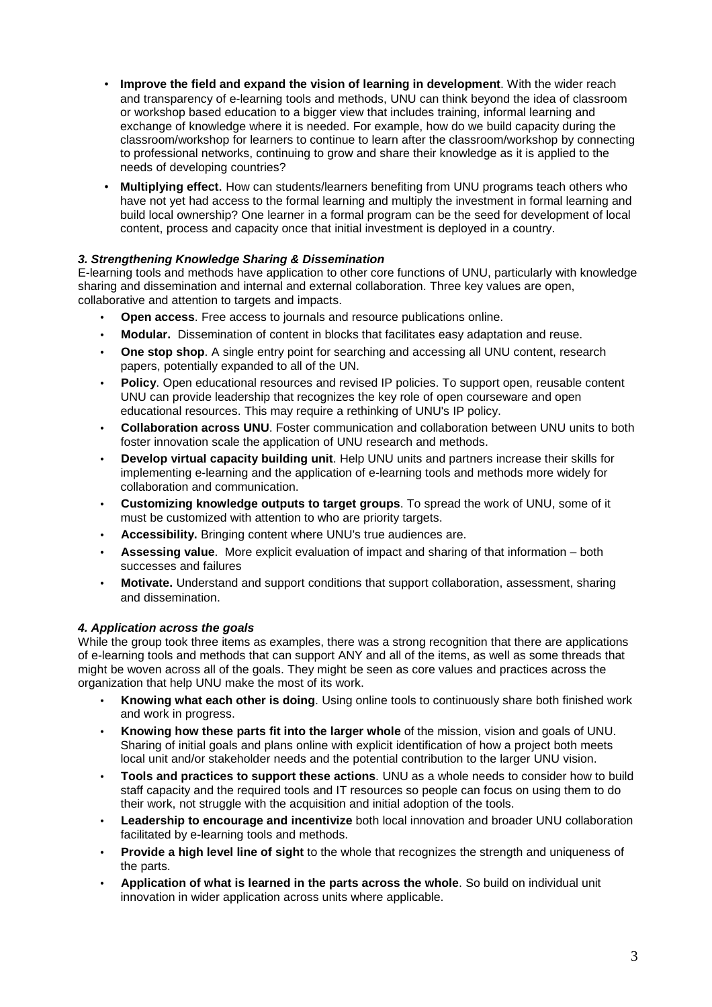- **Improve the field and expand the vision of learning in development**. With the wider reach and transparency of e-learning tools and methods, UNU can think beyond the idea of classroom or workshop based education to a bigger view that includes training, informal learning and exchange of knowledge where it is needed. For example, how do we build capacity during the classroom/workshop for learners to continue to learn after the classroom/workshop by connecting to professional networks, continuing to grow and share their knowledge as it is applied to the needs of developing countries?
- **Multiplying effect**. How can students/learners benefiting from UNU programs teach others who have not yet had access to the formal learning and multiply the investment in formal learning and build local ownership? One learner in a formal program can be the seed for development of local content, process and capacity once that initial investment is deployed in a country.

## **3. Strengthening Knowledge Sharing & Dissemination**

E-learning tools and methods have application to other core functions of UNU, particularly with knowledge sharing and dissemination and internal and external collaboration. Three key values are open, collaborative and attention to targets and impacts.

- **Open access**. Free access to journals and resource publications online.
- **Modular.** Dissemination of content in blocks that facilitates easy adaptation and reuse.
- **One stop shop**. A single entry point for searching and accessing all UNU content, research papers, potentially expanded to all of the UN.
- **Policy**. Open educational resources and revised IP policies. To support open, reusable content UNU can provide leadership that recognizes the key role of open courseware and open educational resources. This may require a rethinking of UNU's IP policy.
- **Collaboration across UNU**. Foster communication and collaboration between UNU units to both foster innovation scale the application of UNU research and methods.
- **Develop virtual capacity building unit**. Help UNU units and partners increase their skills for implementing e-learning and the application of e-learning tools and methods more widely for collaboration and communication.
- **Customizing knowledge outputs to target groups**. To spread the work of UNU, some of it must be customized with attention to who are priority targets.
- **Accessibility.** Bringing content where UNU's true audiences are.
- **Assessing value**. More explicit evaluation of impact and sharing of that information both successes and failures
- **Motivate.** Understand and support conditions that support collaboration, assessment, sharing and dissemination.

## **4. Application across the goals**

While the group took three items as examples, there was a strong recognition that there are applications of e-learning tools and methods that can support ANY and all of the items, as well as some threads that might be woven across all of the goals. They might be seen as core values and practices across the organization that help UNU make the most of its work.

- **Knowing what each other is doing**. Using online tools to continuously share both finished work and work in progress.
- **Knowing how these parts fit into the larger whole** of the mission, vision and goals of UNU. Sharing of initial goals and plans online with explicit identification of how a project both meets local unit and/or stakeholder needs and the potential contribution to the larger UNU vision.
- **Tools and practices to support these actions**. UNU as a whole needs to consider how to build staff capacity and the required tools and IT resources so people can focus on using them to do their work, not struggle with the acquisition and initial adoption of the tools.
- **Leadership to encourage and incentivize** both local innovation and broader UNU collaboration facilitated by e-learning tools and methods.
- **Provide a high level line of sight** to the whole that recognizes the strength and uniqueness of the parts.
- **Application of what is learned in the parts across the whole**. So build on individual unit innovation in wider application across units where applicable.